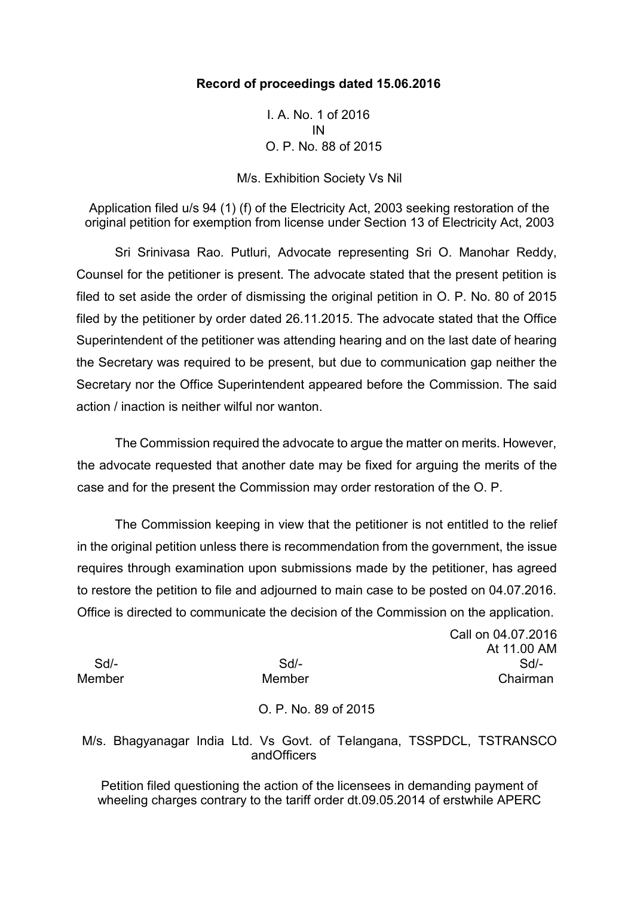### **Record of proceedings dated 15.06.2016**

I. A. No. 1 of 2016 IN O. P. No. 88 of 2015

M/s. Exhibition Society Vs Nil

Application filed u/s 94 (1) (f) of the Electricity Act, 2003 seeking restoration of the original petition for exemption from license under Section 13 of Electricity Act, 2003

Sri Srinivasa Rao. Putluri, Advocate representing Sri O. Manohar Reddy, Counsel for the petitioner is present. The advocate stated that the present petition is filed to set aside the order of dismissing the original petition in O. P. No. 80 of 2015 filed by the petitioner by order dated 26.11.2015. The advocate stated that the Office Superintendent of the petitioner was attending hearing and on the last date of hearing the Secretary was required to be present, but due to communication gap neither the Secretary nor the Office Superintendent appeared before the Commission. The said action / inaction is neither wilful nor wanton.

The Commission required the advocate to argue the matter on merits. However, the advocate requested that another date may be fixed for arguing the merits of the case and for the present the Commission may order restoration of the O. P.

The Commission keeping in view that the petitioner is not entitled to the relief in the original petition unless there is recommendation from the government, the issue requires through examination upon submissions made by the petitioner, has agreed to restore the petition to file and adjourned to main case to be posted on 04.07.2016. Office is directed to communicate the decision of the Commission on the application.

Call on 04.07.2016 At 11.00 AM Sd/- Sd/- Sd/- Member Member Chairman

### O. P. No. 89 of 2015

M/s. Bhagyanagar India Ltd. Vs Govt. of Telangana, TSSPDCL, TSTRANSCO andOfficers

Petition filed questioning the action of the licensees in demanding payment of wheeling charges contrary to the tariff order dt.09.05.2014 of erstwhile APERC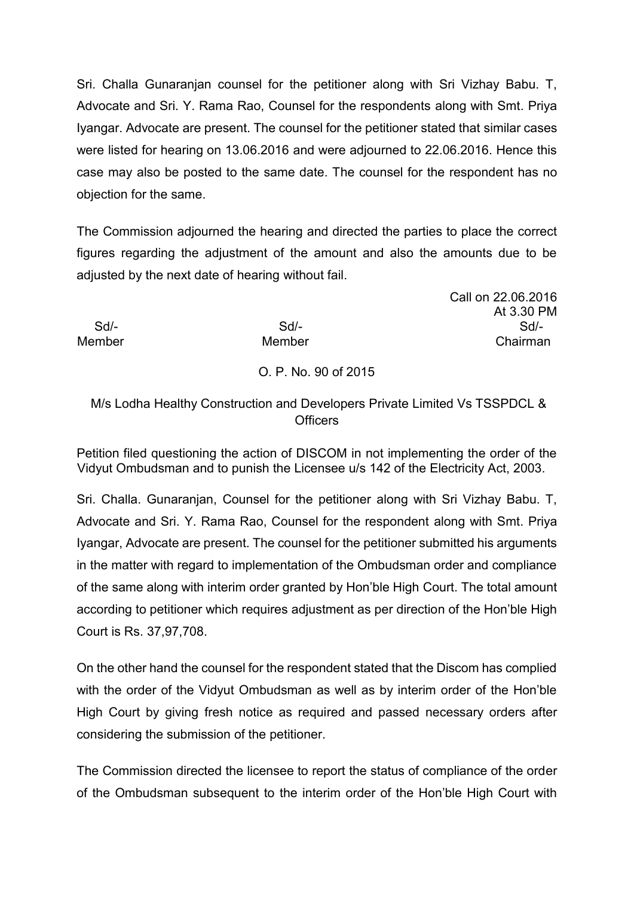Sri. Challa Gunaranjan counsel for the petitioner along with Sri Vizhay Babu. T, Advocate and Sri. Y. Rama Rao, Counsel for the respondents along with Smt. Priya Iyangar. Advocate are present. The counsel for the petitioner stated that similar cases were listed for hearing on 13.06.2016 and were adjourned to 22.06.2016. Hence this case may also be posted to the same date. The counsel for the respondent has no objection for the same.

The Commission adjourned the hearing and directed the parties to place the correct figures regarding the adjustment of the amount and also the amounts due to be adjusted by the next date of hearing without fail.

### Call on 22.06.2016 At 3.30 PM Sd/- Sd/- Sd/- Member Member Chairman

# O. P. No. 90 of 2015

## M/s Lodha Healthy Construction and Developers Private Limited Vs TSSPDCL & **Officers**

Petition filed questioning the action of DISCOM in not implementing the order of the Vidyut Ombudsman and to punish the Licensee u/s 142 of the Electricity Act, 2003.

Sri. Challa. Gunaranjan, Counsel for the petitioner along with Sri Vizhay Babu. T, Advocate and Sri. Y. Rama Rao, Counsel for the respondent along with Smt. Priya Iyangar, Advocate are present. The counsel for the petitioner submitted his arguments in the matter with regard to implementation of the Ombudsman order and compliance of the same along with interim order granted by Hon'ble High Court. The total amount according to petitioner which requires adjustment as per direction of the Hon'ble High Court is Rs. 37,97,708.

On the other hand the counsel for the respondent stated that the Discom has complied with the order of the Vidyut Ombudsman as well as by interim order of the Hon'ble High Court by giving fresh notice as required and passed necessary orders after considering the submission of the petitioner.

The Commission directed the licensee to report the status of compliance of the order of the Ombudsman subsequent to the interim order of the Hon'ble High Court with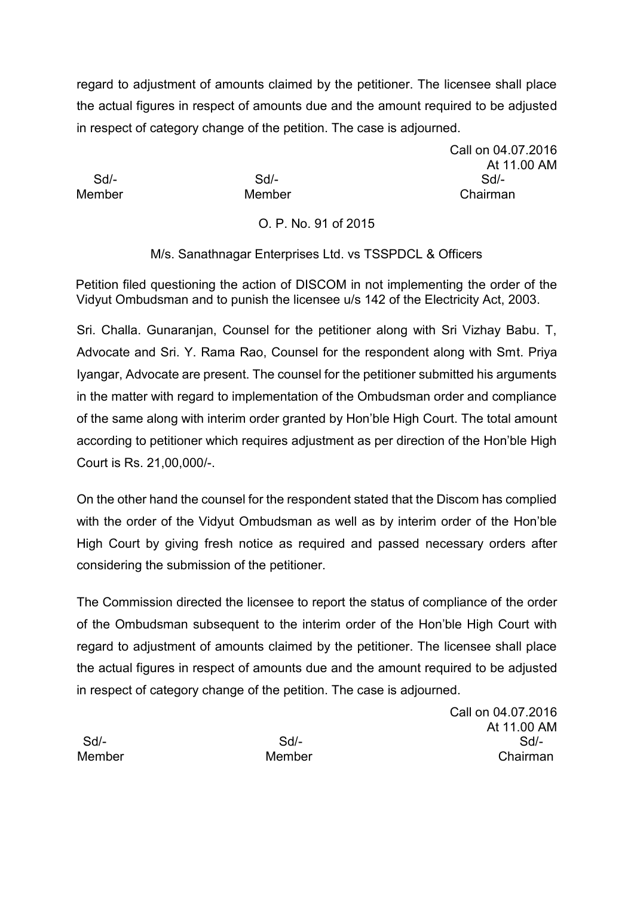regard to adjustment of amounts claimed by the petitioner. The licensee shall place the actual figures in respect of amounts due and the amount required to be adjusted in respect of category change of the petition. The case is adjourned.

Call on 04.07.2016 At 11.00 AM Sd/- Sd/- Sd/- Member Member Chairman

O. P. No. 91 of 2015

M/s. Sanathnagar Enterprises Ltd. vs TSSPDCL & Officers

Petition filed questioning the action of DISCOM in not implementing the order of the Vidyut Ombudsman and to punish the licensee u/s 142 of the Electricity Act, 2003.

Sri. Challa. Gunaranjan, Counsel for the petitioner along with Sri Vizhay Babu. T, Advocate and Sri. Y. Rama Rao, Counsel for the respondent along with Smt. Priya Iyangar, Advocate are present. The counsel for the petitioner submitted his arguments in the matter with regard to implementation of the Ombudsman order and compliance of the same along with interim order granted by Hon'ble High Court. The total amount according to petitioner which requires adjustment as per direction of the Hon'ble High Court is Rs. 21,00,000/-.

On the other hand the counsel for the respondent stated that the Discom has complied with the order of the Vidyut Ombudsman as well as by interim order of the Hon'ble High Court by giving fresh notice as required and passed necessary orders after considering the submission of the petitioner.

The Commission directed the licensee to report the status of compliance of the order of the Ombudsman subsequent to the interim order of the Hon'ble High Court with regard to adjustment of amounts claimed by the petitioner. The licensee shall place the actual figures in respect of amounts due and the amount required to be adjusted in respect of category change of the petition. The case is adjourned.

Call on 04.07.2016 At 11.00 AM Sd/- Sd/- Sd/- Member Member Chairman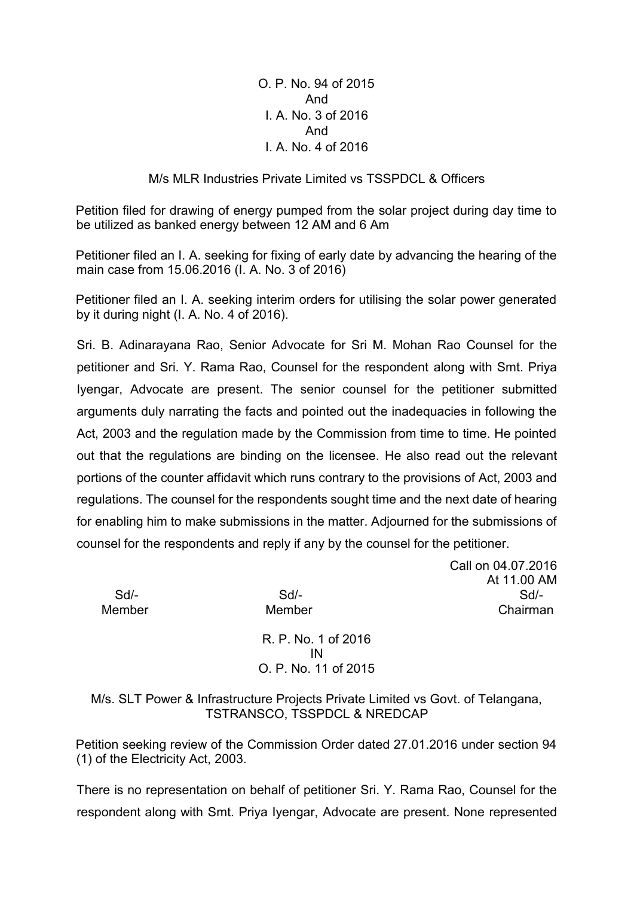O. P. No. 94 of 2015 And I. A. No. 3 of 2016 And I. A. No. 4 of 2016

#### M/s MLR Industries Private Limited vs TSSPDCL & Officers

Petition filed for drawing of energy pumped from the solar project during day time to be utilized as banked energy between 12 AM and 6 Am

Petitioner filed an I. A. seeking for fixing of early date by advancing the hearing of the main case from 15.06.2016 (I. A. No. 3 of 2016)

Petitioner filed an I. A. seeking interim orders for utilising the solar power generated by it during night (I. A. No. 4 of 2016).

Sri. B. Adinarayana Rao, Senior Advocate for Sri M. Mohan Rao Counsel for the petitioner and Sri. Y. Rama Rao, Counsel for the respondent along with Smt. Priya Iyengar, Advocate are present. The senior counsel for the petitioner submitted arguments duly narrating the facts and pointed out the inadequacies in following the Act, 2003 and the regulation made by the Commission from time to time. He pointed out that the regulations are binding on the licensee. He also read out the relevant portions of the counter affidavit which runs contrary to the provisions of Act, 2003 and regulations. The counsel for the respondents sought time and the next date of hearing for enabling him to make submissions in the matter. Adjourned for the submissions of counsel for the respondents and reply if any by the counsel for the petitioner.

Call on 04.07.2016 At 11.00 AM Sd/- Sd/- Sd/- Member Member Chairman

> R. P. No. 1 of 2016 IN O. P. No. 11 of 2015

M/s. SLT Power & Infrastructure Projects Private Limited vs Govt. of Telangana, TSTRANSCO, TSSPDCL & NREDCAP

Petition seeking review of the Commission Order dated 27.01.2016 under section 94 (1) of the Electricity Act, 2003.

There is no representation on behalf of petitioner Sri. Y. Rama Rao, Counsel for the respondent along with Smt. Priya Iyengar, Advocate are present. None represented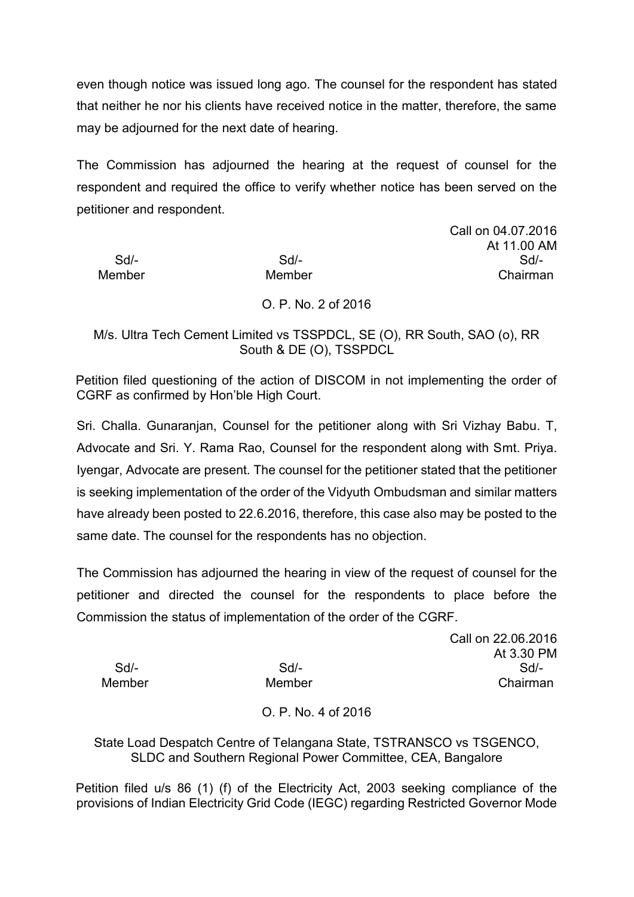even though notice was issued long ago. The counsel for the respondent has stated that neither he nor his clients have received notice in the matter, therefore, the same may be adjourned for the next date of hearing.

The Commission has adjourned the hearing at the request of counsel for the respondent and required the office to verify whether notice has been served on the petitioner and respondent.

Sd/- Sd/- Sd/- Member Member Chairman

Call on 04.07.2016 At 11.00 AM

O. P. No. 2 of 2016

M/s. Ultra Tech Cement Limited vs TSSPDCL, SE (O), RR South, SAO (o), RR South & DE (O), TSSPDCL

Petition filed questioning of the action of DISCOM in not implementing the order of CGRF as confirmed by Hon'ble High Court.

Sri. Challa. Gunaranjan, Counsel for the petitioner along with Sri Vizhay Babu. T, Advocate and Sri. Y. Rama Rao, Counsel for the respondent along with Smt. Priya. Iyengar, Advocate are present. The counsel for the petitioner stated that the petitioner is seeking implementation of the order of the Vidyuth Ombudsman and similar matters have already been posted to 22.6.2016, therefore, this case also may be posted to the same date. The counsel for the respondents has no objection.

The Commission has adjourned the hearing in view of the request of counsel for the petitioner and directed the counsel for the respondents to place before the Commission the status of implementation of the order of the CGRF.<br>Call on 22.06.2016

At 3.30 PM Sd/- Sd/- Sd/- Member Member Chairman

O. P. No. 4 of 2016

State Load Despatch Centre of Telangana State, TSTRANSCO vs TSGENCO, SLDC and Southern Regional Power Committee, CEA, Bangalore

Petition filed u/s 86 (1) (f) of the Electricity Act, 2003 seeking compliance of the provisions of Indian Electricity Grid Code (IEGC) regarding Restricted Governor Mode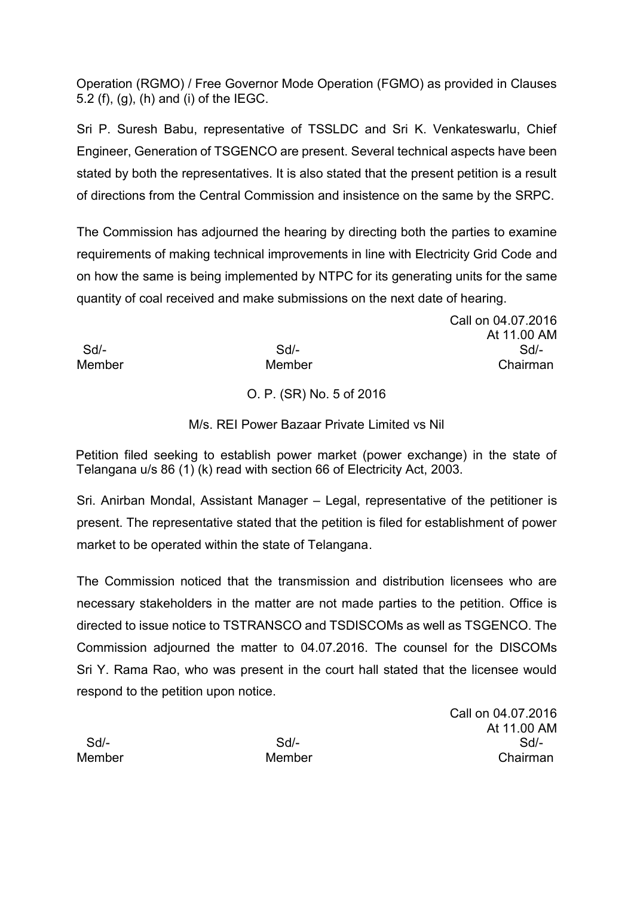Operation (RGMO) / Free Governor Mode Operation (FGMO) as provided in Clauses 5.2 (f), (g), (h) and (i) of the IEGC.

Sri P. Suresh Babu, representative of TSSLDC and Sri K. Venkateswarlu, Chief Engineer, Generation of TSGENCO are present. Several technical aspects have been stated by both the representatives. It is also stated that the present petition is a result of directions from the Central Commission and insistence on the same by the SRPC.

The Commission has adjourned the hearing by directing both the parties to examine requirements of making technical improvements in line with Electricity Grid Code and on how the same is being implemented by NTPC for its generating units for the same quantity of coal received and make submissions on the next date of hearing.

Call on 04.07.2016 At 11.00 AM Sd/- Sd/- Sd/- Member Member Chairman

O. P. (SR) No. 5 of 2016

M/s. REI Power Bazaar Private Limited vs Nil

Petition filed seeking to establish power market (power exchange) in the state of Telangana u/s 86 (1) (k) read with section 66 of Electricity Act, 2003.

Sri. Anirban Mondal, Assistant Manager – Legal, representative of the petitioner is present. The representative stated that the petition is filed for establishment of power market to be operated within the state of Telangana.

The Commission noticed that the transmission and distribution licensees who are necessary stakeholders in the matter are not made parties to the petition. Office is directed to issue notice to TSTRANSCO and TSDISCOMs as well as TSGENCO. The Commission adjourned the matter to 04.07.2016. The counsel for the DISCOMs Sri Y. Rama Rao, who was present in the court hall stated that the licensee would respond to the petition upon notice.

Call on 04.07.2016 At 11.00 AM Sd/- Sd/- Sd/- Member Member Chairman